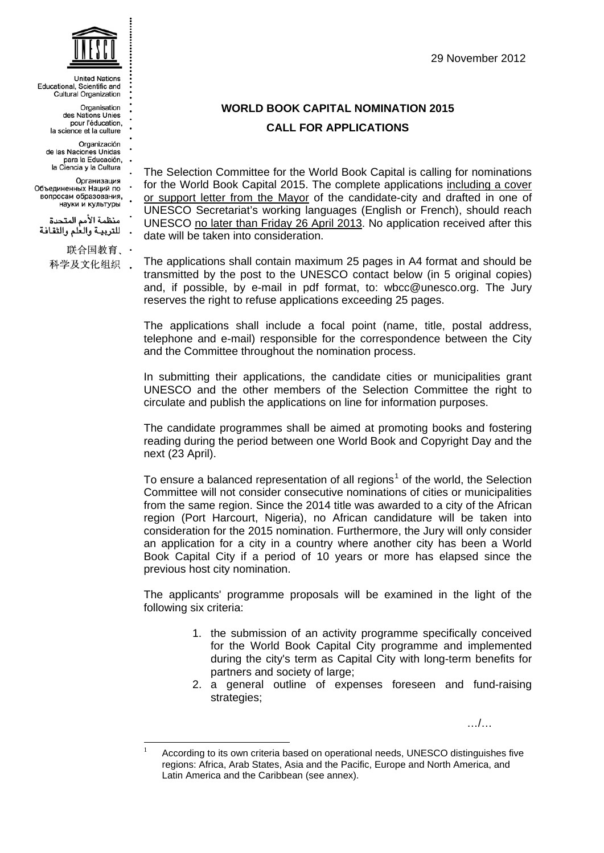29 November 2012



**Linited Nations** Educational, Scientific and Cultural Organization

> Organisation des Nations Unies pour l'éducation, la science et la culture

Organización de las Naciones Unidas para la Educación, la Ciencia y la Cultura

Организация Объединенных Наций по вопросам образования, науки и культуры

منظمة الأمم المتحدة للتربية والعلم والثقافة

> 联合国教育、· 科学及文化组织 .

> > 1

## **WORLD BOOK CAPITAL NOMINATION 2015 CALL FOR APPLICATIONS**

The Selection Committee for the World Book Capital is calling for nominations for the World Book Capital 2015. The complete applications including a cover or support letter from the Mayor of the candidate-city and drafted in one of UNESCO Secretariat's working languages (English or French), should reach UNESCO no later than Friday 26 April 2013. No application received after this date will be taken into consideration.

The applications shall contain maximum 25 pages in A4 format and should be transmitted by the post to the UNESCO contact below (in 5 original copies) and, if possible, by e-mail in pdf format, to: wbcc@unesco.org. The Jury reserves the right to refuse applications exceeding 25 pages.

The applications shall include a focal point (name, title, postal address, telephone and e-mail) responsible for the correspondence between the City and the Committee throughout the nomination process.

In submitting their applications, the candidate cities or municipalities grant UNESCO and the other members of the Selection Committee the right to circulate and publish the applications on line for information purposes.

The candidate programmes shall be aimed at promoting books and fostering reading during the period between one World Book and Copyright Day and the next (23 April).

To ensure a balanced representation of all regions<sup>[1](#page-0-0)</sup> of the world, the Selection Committee will not consider consecutive nominations of cities or municipalities from the same region. Since the 2014 title was awarded to a city of the African region (Port Harcourt, Nigeria), no African candidature will be taken into consideration for the 2015 nomination. Furthermore, the Jury will only consider an application for a city in a country where another city has been a World Book Capital City if a period of 10 years or more has elapsed since the previous host city nomination.

The applicants' programme proposals will be examined in the light of the following six criteria:

- 1. the submission of an activity programme specifically conceived for the World Book Capital City programme and implemented during the city's term as Capital City with long-term benefits for partners and society of large;
- 2. a general outline of expenses foreseen and fund-raising strategies;

…/…

<span id="page-0-0"></span><sup>1</sup> According to its own criteria based on operational needs, UNESCO distinguishes five regions: Africa, Arab States, Asia and the Pacific, Europe and North America, and Latin America and the Caribbean (see annex).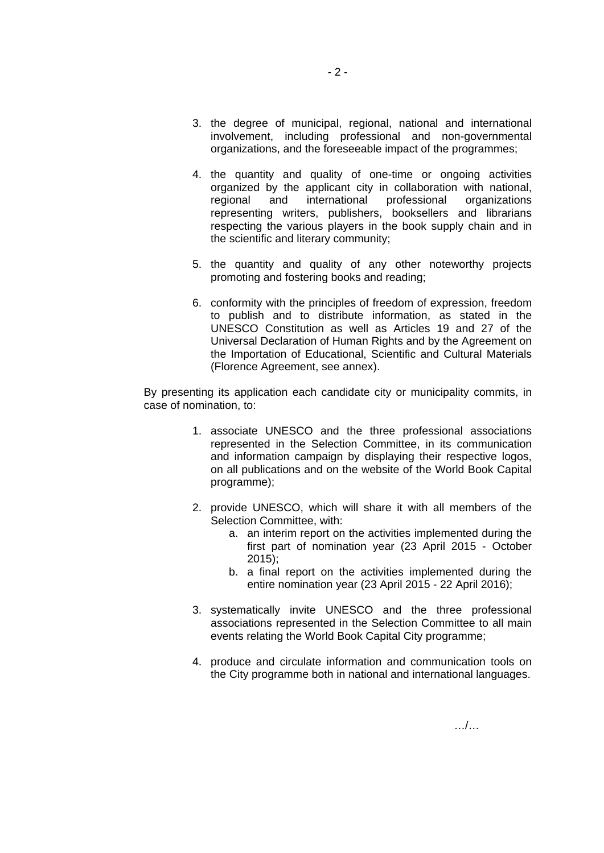- 3. the degree of municipal, regional, national and international involvement, including professional and non-governmental organizations, and the foreseeable impact of the programmes;
- 4. the quantity and quality of one-time or ongoing activities organized by the applicant city in collaboration with national, regional and international professional organizations representing writers, publishers, booksellers and librarians respecting the various players in the book supply chain and in the scientific and literary community;
- 5. the quantity and quality of any other noteworthy projects promoting and fostering books and reading;
- 6. conformity with the principles of freedom of expression, freedom to publish and to distribute information, as stated in the UNESCO Constitution as well as Articles 19 and 27 of the Universal Declaration of Human Rights and by the Agreement on the Importation of Educational, Scientific and Cultural Materials (Florence Agreement, see annex).

By presenting its application each candidate city or municipality commits, in case of nomination, to:

- 1. associate UNESCO and the three professional associations represented in the Selection Committee, in its communication and information campaign by displaying their respective logos, on all publications and on the website of the World Book Capital programme);
- 2. provide UNESCO, which will share it with all members of the Selection Committee, with:
	- a. an interim report on the activities implemented during the first part of nomination year (23 April 2015 - October 2015);
	- b. a final report on the activities implemented during the entire nomination year (23 April 2015 - 22 April 2016);
- 3. systematically invite UNESCO and the three professional associations represented in the Selection Committee to all main events relating the World Book Capital City programme;
- 4. produce and circulate information and communication tools on the City programme both in national and international languages.

…/…